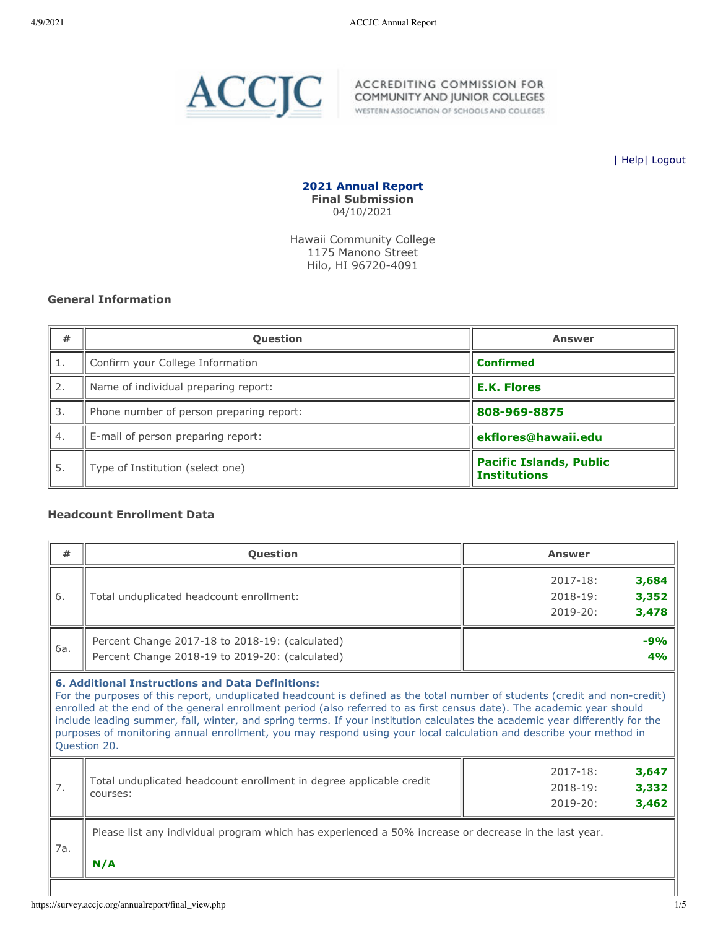

WESTERN ASSOCIATION OF SCHOOLS AND COLLEGES

| [Help](javascript:newPopup()| [Logout](https://survey.accjc.org/annualreport/logout.php)

**2021 Annual Report Final Submission** 04/10/2021

Hawaii Community College 1175 Manono Street Hilo, HI 96720-4091

## **General Information**

| #  | <b>Question</b>                          | <b>Answer</b>                                         |
|----|------------------------------------------|-------------------------------------------------------|
| 1. | Confirm your College Information         | <b>Confirmed</b>                                      |
| 2. | Name of individual preparing report:     | <b>E.K. Flores</b>                                    |
| 3. | Phone number of person preparing report: | 808-969-8875                                          |
| 4. | E-mail of person preparing report:       | ekflores@hawaii.edu                                   |
| 5. | Type of Institution (select one)         | <b>Pacific Islands, Public</b><br><b>Institutions</b> |

# **Headcount Enrollment Data**

| #   | <b>Ouestion</b>                                                                                                                                                                                                                                                                                                                                                                                                                                                                                                                                                                       | <b>Answer</b>                                                           |
|-----|---------------------------------------------------------------------------------------------------------------------------------------------------------------------------------------------------------------------------------------------------------------------------------------------------------------------------------------------------------------------------------------------------------------------------------------------------------------------------------------------------------------------------------------------------------------------------------------|-------------------------------------------------------------------------|
| 6.  | Total unduplicated headcount enrollment:                                                                                                                                                                                                                                                                                                                                                                                                                                                                                                                                              | 3,684<br>$2017 - 18:$<br>3,352<br>$2018 - 19:$<br>$2019 - 20:$<br>3,478 |
| 6a. | Percent Change 2017-18 to 2018-19: (calculated)<br>Percent Change 2018-19 to 2019-20: (calculated)                                                                                                                                                                                                                                                                                                                                                                                                                                                                                    | $-9%$<br>4%                                                             |
|     | <b>6. Additional Instructions and Data Definitions:</b><br>For the purposes of this report, unduplicated headcount is defined as the total number of students (credit and non-credit)<br>enrolled at the end of the general enrollment period (also referred to as first census date). The academic year should<br>include leading summer, fall, winter, and spring terms. If your institution calculates the academic year differently for the<br>purposes of monitoring annual enrollment, you may respond using your local calculation and describe your method in<br>Question 20. |                                                                         |
| 7.  | Total unduplicated headcount enrollment in degree applicable credit<br>courses:                                                                                                                                                                                                                                                                                                                                                                                                                                                                                                       | $2017 - 18:$<br>3,647<br>3,332<br>$2018 - 19:$<br>$2019 - 20:$<br>3,462 |
| 7a. | Please list any individual program which has experienced a 50% increase or decrease in the last year.<br>N/A                                                                                                                                                                                                                                                                                                                                                                                                                                                                          |                                                                         |
|     |                                                                                                                                                                                                                                                                                                                                                                                                                                                                                                                                                                                       |                                                                         |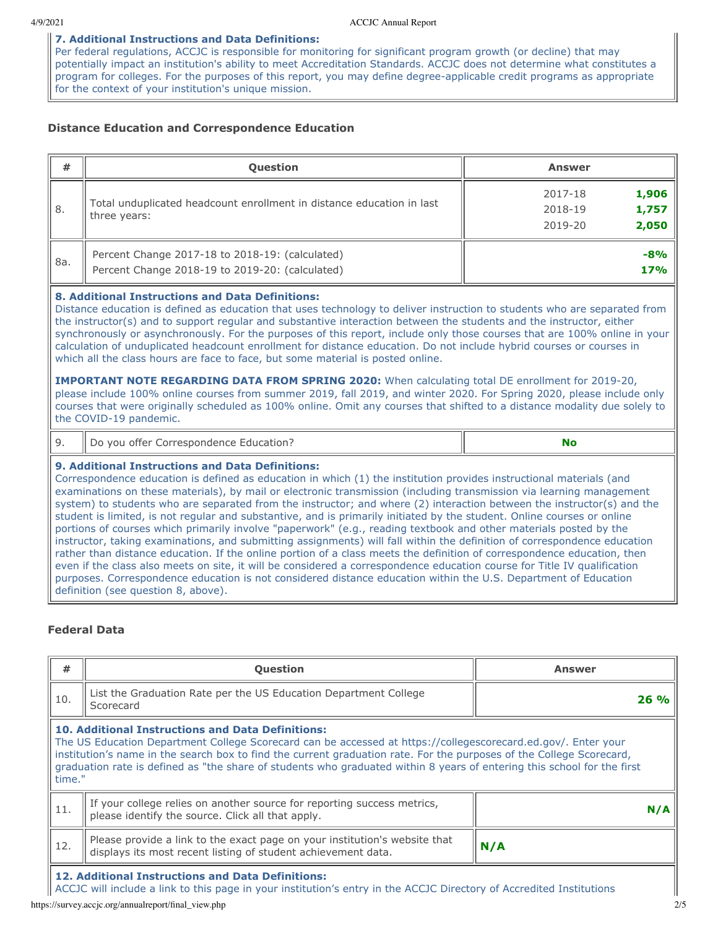## **7. Additional Instructions and Data Definitions:**

Per federal regulations, ACCJC is responsible for monitoring for significant program growth (or decline) that may potentially impact an institution's ability to meet Accreditation Standards. ACCJC does not determine what constitutes a program for colleges. For the purposes of this report, you may define degree-applicable credit programs as appropriate for the context of your institution's unique mission.

# **Distance Education and Correspondence Education**

| #   | <b>Question</b>                                                                                    | <b>Answer</b>                                            |
|-----|----------------------------------------------------------------------------------------------------|----------------------------------------------------------|
| 8.  | Total unduplicated headcount enrollment in distance education in last<br>three years:              | 1,906<br>2017-18<br>1,757<br>2018-19<br>2,050<br>2019-20 |
| 8a. | Percent Change 2017-18 to 2018-19: (calculated)<br>Percent Change 2018-19 to 2019-20: (calculated) | $-8%$<br>17%                                             |

### **8. Additional Instructions and Data Definitions:**

Distance education is defined as education that uses technology to deliver instruction to students who are separated from the instructor(s) and to support regular and substantive interaction between the students and the instructor, either synchronously or asynchronously. For the purposes of this report, include only those courses that are 100% online in your calculation of unduplicated headcount enrollment for distance education. Do not include hybrid courses or courses in which all the class hours are face to face, but some material is posted online.

**IMPORTANT NOTE REGARDING DATA FROM SPRING 2020:** When calculating total DE enrollment for 2019-20, please include 100% online courses from summer 2019, fall 2019, and winter 2020. For Spring 2020, please include only courses that were originally scheduled as 100% online. Omit any courses that shifted to a distance modality due solely to the COVID-19 pandemic.

|  | Il Do vou offer Correspondence Education? |  |
|--|-------------------------------------------|--|
|--|-------------------------------------------|--|

# **9. Additional Instructions and Data Definitions:**

Correspondence education is defined as education in which (1) the institution provides instructional materials (and examinations on these materials), by mail or electronic transmission (including transmission via learning management system) to students who are separated from the instructor; and where (2) interaction between the instructor(s) and the student is limited, is not regular and substantive, and is primarily initiated by the student. Online courses or online portions of courses which primarily involve "paperwork" (e.g., reading textbook and other materials posted by the instructor, taking examinations, and submitting assignments) will fall within the definition of correspondence education rather than distance education. If the online portion of a class meets the definition of correspondence education, then even if the class also meets on site, it will be considered a correspondence education course for Title IV qualification purposes. Correspondence education is not considered distance education within the U.S. Department of Education definition (see question 8, above).

### **Federal Data**

| #      | <b>Question</b>                                                                                                                                                                                                                                                                                                                                                                                                              | Answer |
|--------|------------------------------------------------------------------------------------------------------------------------------------------------------------------------------------------------------------------------------------------------------------------------------------------------------------------------------------------------------------------------------------------------------------------------------|--------|
| 10.    | List the Graduation Rate per the US Education Department College<br>Scorecard                                                                                                                                                                                                                                                                                                                                                | 26%    |
| time." | <b>10. Additional Instructions and Data Definitions:</b><br>The US Education Department College Scorecard can be accessed at https://collegescorecard.ed.gov/. Enter your<br>institution's name in the search box to find the current graduation rate. For the purposes of the College Scorecard,<br>graduation rate is defined as "the share of students who graduated within 8 years of entering this school for the first |        |
| 11.    | If your college relies on another source for reporting success metrics,<br>please identify the source. Click all that apply.                                                                                                                                                                                                                                                                                                 | N/A    |
| 12.    | Please provide a link to the exact page on your institution's website that<br>displays its most recent listing of student achievement data.                                                                                                                                                                                                                                                                                  | N/A    |
|        | 12. Additional Instructions and Data Definitions:<br>ACCJC will include a link to this page in your institution's entry in the ACCJC Directory of Accredited Institutions                                                                                                                                                                                                                                                    |        |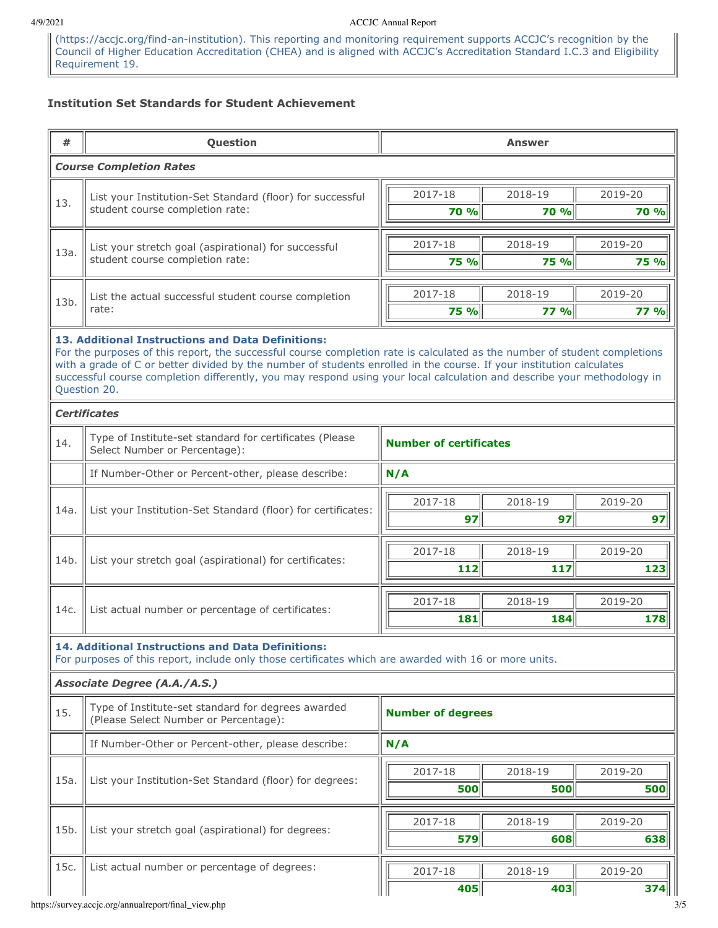### 4/9/2021 ACCJC Annual Report

(https://accjc.org/find-an-institution). This reporting and monitoring requirement supports ACCJC's recognition by the Council of Higher Education Accreditation (CHEA) and is aligned with ACCJC's Accreditation Standard I.C.3 and Eligibility Requirement 19.

# **Institution Set Standards for Student Achievement**

| #    | Question                                                                                                                                                                                                                                                                                                                                                                                                                                          |     |                               | <b>Answer</b> |             |  |  |  |
|------|---------------------------------------------------------------------------------------------------------------------------------------------------------------------------------------------------------------------------------------------------------------------------------------------------------------------------------------------------------------------------------------------------------------------------------------------------|-----|-------------------------------|---------------|-------------|--|--|--|
|      | <b>Course Completion Rates</b>                                                                                                                                                                                                                                                                                                                                                                                                                    |     |                               |               |             |  |  |  |
| 13.  | List your Institution-Set Standard (floor) for successful                                                                                                                                                                                                                                                                                                                                                                                         |     | 2017-18                       | 2018-19       | 2019-20     |  |  |  |
|      | student course completion rate:                                                                                                                                                                                                                                                                                                                                                                                                                   |     | 70 %                          | <b>70 %</b>   | <b>70 %</b> |  |  |  |
|      | List your stretch goal (aspirational) for successful                                                                                                                                                                                                                                                                                                                                                                                              |     | 2017-18                       | 2018-19       | 2019-20     |  |  |  |
| 13a. | student course completion rate:                                                                                                                                                                                                                                                                                                                                                                                                                   |     | <b>75 %</b>                   | 75 %          | <b>75 %</b> |  |  |  |
|      |                                                                                                                                                                                                                                                                                                                                                                                                                                                   |     | 2017-18                       | 2018-19       | 2019-20     |  |  |  |
| 13b. | List the actual successful student course completion<br>rate:                                                                                                                                                                                                                                                                                                                                                                                     |     | <b>75 %</b>                   | <b>77 %</b>   | <b>77 %</b> |  |  |  |
|      | 13. Additional Instructions and Data Definitions:<br>For the purposes of this report, the successful course completion rate is calculated as the number of student completions<br>with a grade of C or better divided by the number of students enrolled in the course. If your institution calculates<br>successful course completion differently, you may respond using your local calculation and describe your methodology in<br>Question 20. |     |                               |               |             |  |  |  |
|      | <b>Certificates</b>                                                                                                                                                                                                                                                                                                                                                                                                                               |     |                               |               |             |  |  |  |
| 14.  | Type of Institute-set standard for certificates (Please<br>Select Number or Percentage):                                                                                                                                                                                                                                                                                                                                                          |     | <b>Number of certificates</b> |               |             |  |  |  |
|      | If Number-Other or Percent-other, please describe:                                                                                                                                                                                                                                                                                                                                                                                                |     | N/A                           |               |             |  |  |  |
| 14a. |                                                                                                                                                                                                                                                                                                                                                                                                                                                   |     | 2017-18                       | 2018-19       | 2019-20     |  |  |  |
|      | List your Institution-Set Standard (floor) for certificates:                                                                                                                                                                                                                                                                                                                                                                                      |     | 97                            | 97            | 97          |  |  |  |
|      | List your stretch goal (aspirational) for certificates:                                                                                                                                                                                                                                                                                                                                                                                           |     | 2017-18                       | 2018-19       | 2019-20     |  |  |  |
| 14b. |                                                                                                                                                                                                                                                                                                                                                                                                                                                   |     | 112                           | 117           | 123         |  |  |  |
|      |                                                                                                                                                                                                                                                                                                                                                                                                                                                   |     | 2017-18                       | 2018-19       | 2019-20     |  |  |  |
| 14c. | List actual number or percentage of certificates:                                                                                                                                                                                                                                                                                                                                                                                                 |     | 181                           | 184           | 178         |  |  |  |
|      | 14. Additional Instructions and Data Definitions:<br>For purposes of this report, include only those certificates which are awarded with 16 or more units.                                                                                                                                                                                                                                                                                        |     |                               |               |             |  |  |  |
|      | Associate Degree (A.A./A.S.)                                                                                                                                                                                                                                                                                                                                                                                                                      |     |                               |               |             |  |  |  |
| 15.  | Type of Institute-set standard for degrees awarded<br>(Please Select Number or Percentage):                                                                                                                                                                                                                                                                                                                                                       |     | <b>Number of degrees</b>      |               |             |  |  |  |
|      | If Number-Other or Percent-other, please describe:                                                                                                                                                                                                                                                                                                                                                                                                | N/A |                               |               |             |  |  |  |
| 15a. | List your Institution-Set Standard (floor) for degrees:                                                                                                                                                                                                                                                                                                                                                                                           |     | 2017-18                       | 2018-19       | 2019-20     |  |  |  |
|      |                                                                                                                                                                                                                                                                                                                                                                                                                                                   |     | 500                           | 500           | 500         |  |  |  |
| 15b. |                                                                                                                                                                                                                                                                                                                                                                                                                                                   |     | 2017-18                       | 2018-19       | 2019-20     |  |  |  |
|      | List your stretch goal (aspirational) for degrees:                                                                                                                                                                                                                                                                                                                                                                                                |     | 579                           | 608           | 638         |  |  |  |
| 15c. | List actual number or percentage of degrees:                                                                                                                                                                                                                                                                                                                                                                                                      |     | 2017-18                       | 2018-19       | 2019-20     |  |  |  |
|      |                                                                                                                                                                                                                                                                                                                                                                                                                                                   |     | 405                           | 403           | 374         |  |  |  |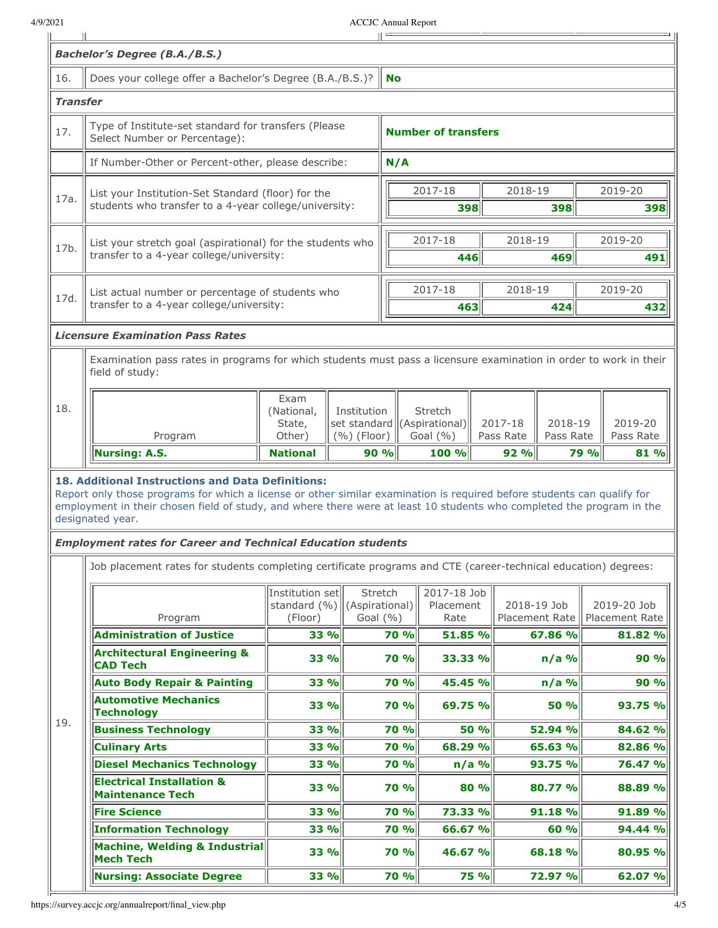|                 |                                                                                                                                                                                                                        |                                                  |                       | <b>ACCJC</b> Annual Report |                                         |         |                               |             |      |                                                                                                                                                                              |
|-----------------|------------------------------------------------------------------------------------------------------------------------------------------------------------------------------------------------------------------------|--------------------------------------------------|-----------------------|----------------------------|-----------------------------------------|---------|-------------------------------|-------------|------|------------------------------------------------------------------------------------------------------------------------------------------------------------------------------|
|                 | <b>Bachelor's Degree (B.A./B.S.)</b>                                                                                                                                                                                   |                                                  |                       |                            |                                         |         |                               |             |      |                                                                                                                                                                              |
| 16.             | Does your college offer a Bachelor's Degree (B.A./B.S.)?                                                                                                                                                               |                                                  |                       | No                         |                                         |         |                               |             |      |                                                                                                                                                                              |
| <b>Transfer</b> |                                                                                                                                                                                                                        |                                                  |                       |                            |                                         |         |                               |             |      |                                                                                                                                                                              |
| 17.             | Type of Institute-set standard for transfers (Please<br>Select Number or Percentage):                                                                                                                                  |                                                  |                       |                            | <b>Number of transfers</b>              |         |                               |             |      |                                                                                                                                                                              |
|                 | If Number-Other or Percent-other, please describe:                                                                                                                                                                     |                                                  |                       | N/A                        |                                         |         |                               |             |      |                                                                                                                                                                              |
|                 | List your Institution-Set Standard (floor) for the                                                                                                                                                                     |                                                  |                       |                            | 2017-18                                 |         | 2018-19                       |             |      | 2019-20                                                                                                                                                                      |
| 17a.            | students who transfer to a 4-year college/university:                                                                                                                                                                  |                                                  |                       |                            | 398                                     |         |                               | 398         |      | 398                                                                                                                                                                          |
|                 |                                                                                                                                                                                                                        |                                                  |                       |                            | 2017-18                                 |         | 2018-19                       |             |      | 2019-20                                                                                                                                                                      |
| 17b.            | List your stretch goal (aspirational) for the students who<br>transfer to a 4-year college/university:                                                                                                                 |                                                  |                       |                            | 446                                     |         |                               | 469         |      | 491                                                                                                                                                                          |
|                 |                                                                                                                                                                                                                        |                                                  |                       |                            |                                         |         |                               |             |      |                                                                                                                                                                              |
| 17d.            | transfer to a 4-year college/university:                                                                                                                                                                               | List actual number or percentage of students who |                       |                            | 2017-18<br>463                          |         | 2018-19                       | 424         |      | 2019-20<br>432                                                                                                                                                               |
|                 |                                                                                                                                                                                                                        |                                                  |                       |                            |                                         |         |                               |             |      |                                                                                                                                                                              |
|                 | <b>Licensure Examination Pass Rates</b>                                                                                                                                                                                |                                                  |                       |                            |                                         |         |                               |             |      |                                                                                                                                                                              |
|                 | Examination pass rates in programs for which students must pass a licensure examination in order to work in their<br>field of study:                                                                                   |                                                  |                       |                            |                                         |         |                               |             |      |                                                                                                                                                                              |
| 18.             |                                                                                                                                                                                                                        | Exam<br>(National,                               | Institution<br>State, |                            | Stretch<br>set standard ((Aspirational) |         | 2017-18                       | 2018-19     |      | 2019-20                                                                                                                                                                      |
|                 |                                                                                                                                                                                                                        |                                                  |                       |                            |                                         |         |                               |             |      |                                                                                                                                                                              |
|                 | Program<br><b>Nursing: A.S.</b><br><b>18. Additional Instructions and Data Definitions:</b><br>Report only those programs for which a license or other similar examination is required before students can qualify for | Other)<br><b>National</b>                        | (%) (Floor)           | 90%                        | Goal $(\% )$<br>100 %                   |         | Pass Rate<br>92%              | Pass Rate   | 79 % |                                                                                                                                                                              |
|                 | employment in their chosen field of study, and where there were at least 10 students who completed the program in the<br>designated year.                                                                              |                                                  |                       |                            |                                         |         |                               |             |      |                                                                                                                                                                              |
|                 | <b>Employment rates for Career and Technical Education students</b>                                                                                                                                                    |                                                  |                       |                            |                                         |         |                               |             |      |                                                                                                                                                                              |
|                 | Job placement rates for students completing certificate programs and CTE (career-technical education) degrees:                                                                                                         |                                                  |                       |                            |                                         |         |                               |             |      |                                                                                                                                                                              |
|                 |                                                                                                                                                                                                                        | Institution set                                  |                       | Stretch                    | 2017-18 Job                             |         |                               |             |      |                                                                                                                                                                              |
|                 | Program                                                                                                                                                                                                                | standard $(\%)\ $ (Aspirational)<br>(Floor)      |                       | Goal $(% )$                | Placement<br>Rate                       |         | 2018-19 Job<br>Placement Rate |             |      |                                                                                                                                                                              |
|                 | <b>Administration of Justice</b>                                                                                                                                                                                       | 33 %                                             |                       | 70 %                       | 51.85 %                                 |         |                               | 67.86 %     |      |                                                                                                                                                                              |
|                 | <b>Architectural Engineering &amp;</b><br><b>CAD Tech</b>                                                                                                                                                              | 33 %                                             |                       | 70 %                       | 33.33 %                                 |         |                               | $n/a$ %     |      |                                                                                                                                                                              |
|                 | <b>Auto Body Repair &amp; Painting</b>                                                                                                                                                                                 | 33 %                                             |                       | <b>70 %</b>                | 45.45 %                                 |         |                               | $n/a$ %     |      |                                                                                                                                                                              |
|                 | <b>Automotive Mechanics</b><br><b>Technology</b>                                                                                                                                                                       | 33 %                                             |                       | 70 %                       | 69.75 %                                 |         |                               | <b>50 %</b> |      |                                                                                                                                                                              |
| 19.             | <b>Business Technology</b>                                                                                                                                                                                             | 33 %                                             |                       | 70 %                       |                                         | 50 %    |                               | 52.94 %     |      |                                                                                                                                                                              |
|                 | <b>Culinary Arts</b>                                                                                                                                                                                                   | 33 %                                             |                       | 70 %                       | 68.29 %                                 |         |                               | 65.63 %     |      |                                                                                                                                                                              |
|                 | <b>Diesel Mechanics Technology</b>                                                                                                                                                                                     | 33 %                                             |                       | 70 %                       |                                         | $n/a$ % |                               | 93.75 %     |      |                                                                                                                                                                              |
|                 | <b>Electrical Installation &amp;</b><br><b>Maintenance Tech</b>                                                                                                                                                        | 33 %                                             |                       | <b>70 %</b>                |                                         | 80 %    |                               | 80.77 %     |      |                                                                                                                                                                              |
|                 | <b>Fire Science</b>                                                                                                                                                                                                    | 33 %                                             |                       | 70 %                       | 73.33 %                                 |         |                               | 91.18 %     |      |                                                                                                                                                                              |
|                 | <b>Information Technology</b>                                                                                                                                                                                          | 33 %                                             |                       | <b>70 %</b>                | 66.67 %                                 |         |                               | 60 %        |      |                                                                                                                                                                              |
|                 | Machine, Welding & Industrial<br><b>Mech Tech</b>                                                                                                                                                                      | 33 %                                             |                       | <b>70 %</b>                | 46.67 %                                 |         |                               | 68.18%      |      | Pass Rate<br>81 %<br>2019-20 Job<br>Placement Rate<br>81.82 %<br>90 %<br><b>90 %</b><br>93.75 %<br>84.62 %<br>82.86 %<br>76.47 %<br>88.89 %<br>91.89 %<br>94.44 %<br>80.95 % |